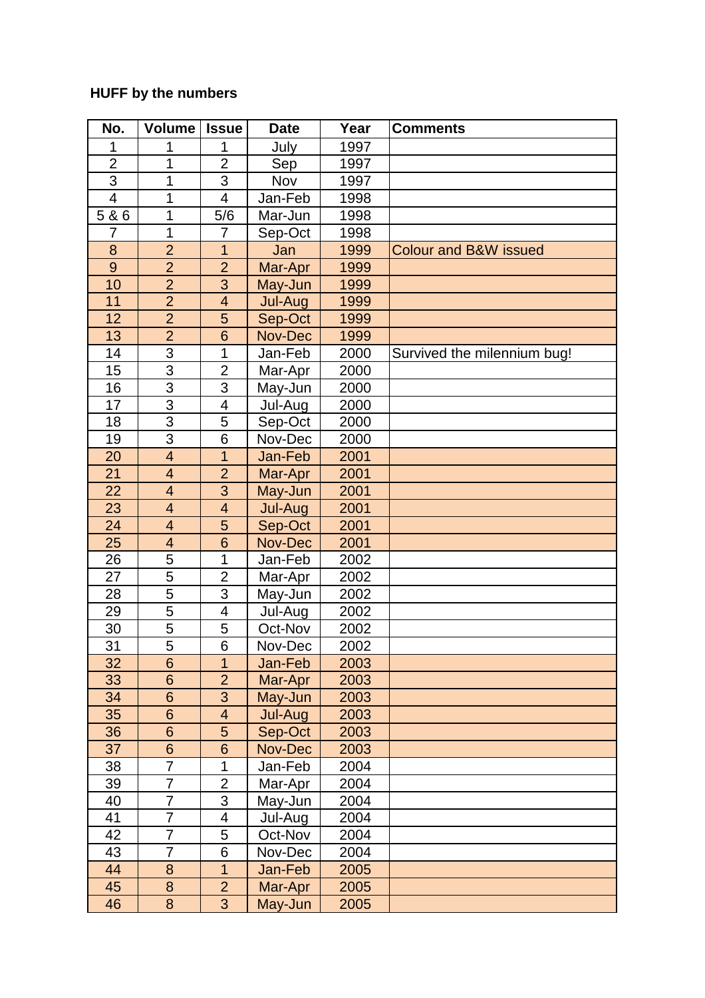## **HUFF by the numbers**

| No.             | <b>Volume</b>           | <b>Issue</b>            | <b>Date</b> | Year | <b>Comments</b>                  |
|-----------------|-------------------------|-------------------------|-------------|------|----------------------------------|
|                 |                         | 1                       | July        | 1997 |                                  |
| $\overline{2}$  | 1                       | $\overline{2}$          | Sep         | 1997 |                                  |
| 3               | 1                       | 3                       | Nov         | 1997 |                                  |
| $\overline{4}$  | 1                       | 4                       | Jan-Feb     | 1998 |                                  |
| 5 & 6           | 1                       | 5/6                     | Mar-Jun     | 1998 |                                  |
| 7               | 1                       | 7                       | Sep-Oct     | 1998 |                                  |
| 8               | $\overline{2}$          | 1                       | Jan         | 1999 | <b>Colour and B&amp;W issued</b> |
| 9               | $\overline{2}$          | $\overline{2}$          | Mar-Apr     | 1999 |                                  |
| 10              | $\overline{2}$          | 3                       | May-Jun     | 1999 |                                  |
| 11              | $\overline{2}$          | $\overline{4}$          | Jul-Aug     | 1999 |                                  |
| 12              | $\overline{2}$          | 5                       | Sep-Oct     | 1999 |                                  |
| 13              | $\overline{2}$          | 6                       | Nov-Dec     | 1999 |                                  |
| 14              | 3                       | 1                       | Jan-Feb     | 2000 | Survived the milennium bug!      |
| 15              | 3                       | $\overline{2}$          | Mar-Apr     | 2000 |                                  |
| 16              | $\overline{3}$          | 3                       | May-Jun     | 2000 |                                  |
| 17              | $\overline{3}$          | 4                       | Jul-Aug     | 2000 |                                  |
| 18              | $\overline{3}$          | 5                       | Sep-Oct     | 2000 |                                  |
| 19              | 3                       | 6                       | Nov-Dec     | 2000 |                                  |
| 20              | $\overline{\mathbf{4}}$ | $\mathbf 1$             | Jan-Feb     | 2001 |                                  |
| $\overline{21}$ | $\overline{4}$          | $\overline{2}$          | Mar-Apr     | 2001 |                                  |
| 22              | $\overline{4}$          | $\overline{3}$          | May-Jun     | 2001 |                                  |
| 23              | $\overline{4}$          | $\overline{4}$          | Jul-Aug     | 2001 |                                  |
| 24              | $\overline{4}$          | 5                       | Sep-Oct     | 2001 |                                  |
| 25              | $\overline{4}$          | 6                       | Nov-Dec     | 2001 |                                  |
| 26              | 5                       | 1                       | Jan-Feb     | 2002 |                                  |
| 27              | 5                       | $\overline{2}$          | Mar-Apr     | 2002 |                                  |
| 28              | 5                       | 3                       | May-Jun     | 2002 |                                  |
| 29              | 5                       | 4                       | Jul-Aug     | 2002 |                                  |
| 30              | 5                       | 5                       | Oct-Nov     | 2002 |                                  |
| 31              | 5                       | $\overline{6}$          | Nov-Dec     | 2002 |                                  |
| 32              | 6                       | 1                       | Jan-Feb     | 2003 |                                  |
| 33              | 6                       | $\overline{2}$          | Mar-Apr     | 2003 |                                  |
| 34              | $6\phantom{1}6$         | 3                       | May-Jun     | 2003 |                                  |
| 35              | 6                       | $\overline{\mathbf{4}}$ | Jul-Aug     | 2003 |                                  |
| 36              | 6                       | 5                       | Sep-Oct     | 2003 |                                  |
| 37              | 6                       | $6\phantom{1}$          | Nov-Dec     | 2003 |                                  |
| 38              | 7                       | $\mathbf 1$             | Jan-Feb     | 2004 |                                  |
| 39              | $\overline{7}$          | $\overline{2}$          | Mar-Apr     | 2004 |                                  |
| 40              | 7                       | 3                       | May-Jun     | 2004 |                                  |
| 41              | 7                       | 4                       | Jul-Aug     | 2004 |                                  |
| 42              | 7                       | 5                       | Oct-Nov     | 2004 |                                  |
| 43              | 7                       | 6                       | Nov-Dec     | 2004 |                                  |
| 44              | 8                       | $\overline{1}$          | Jan-Feb     | 2005 |                                  |
| 45              | $\bf 8$                 | $\overline{2}$          | Mar-Apr     | 2005 |                                  |
| 46              | $\boldsymbol{8}$        | 3                       | May-Jun     | 2005 |                                  |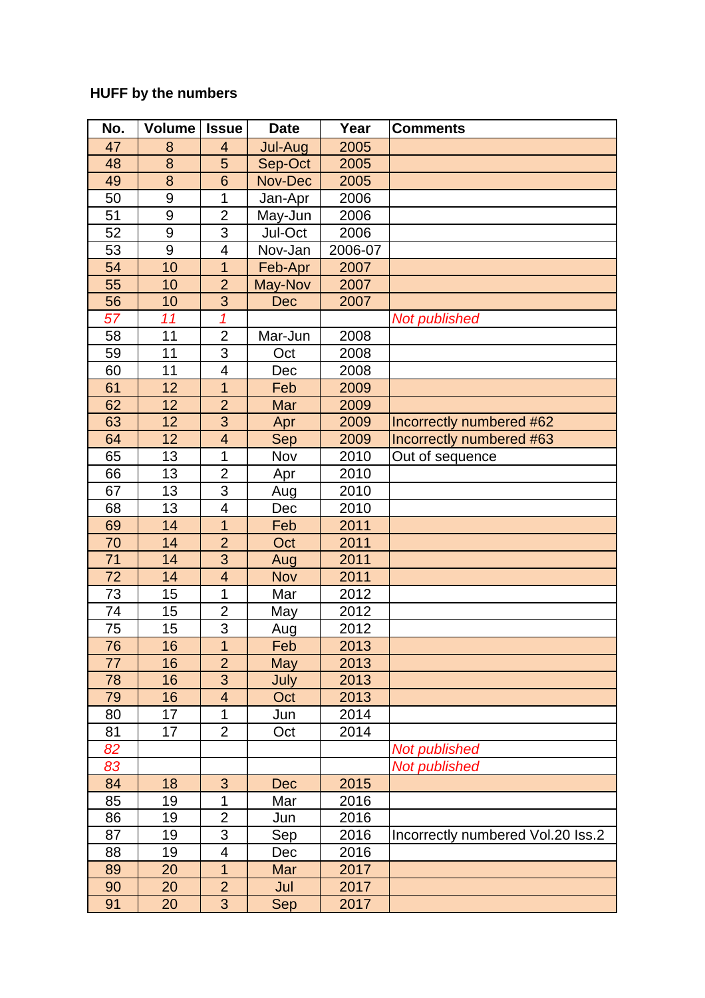## **HUFF by the numbers**

| No. | <b>Volume</b>    | <b>Issue</b>             | <b>Date</b> | Year    | <b>Comments</b>                   |
|-----|------------------|--------------------------|-------------|---------|-----------------------------------|
| 47  | 8                | $\overline{\mathbf{4}}$  | Jul-Aug     | 2005    |                                   |
| 48  | 8                | 5                        | Sep-Oct     | 2005    |                                   |
| 49  | 8                | $6\overline{6}$          | Nov-Dec     | 2005    |                                   |
| 50  | $\boldsymbol{9}$ | 1                        | Jan-Apr     | 2006    |                                   |
| 51  | 9                | $\overline{2}$           | May-Jun     | 2006    |                                   |
| 52  | $\boldsymbol{9}$ | $\overline{3}$           | Jul-Oct     | 2006    |                                   |
| 53  | 9                | $\overline{\mathcal{A}}$ | Nov-Jan     | 2006-07 |                                   |
| 54  | 10               | $\overline{1}$           | Feb-Apr     | 2007    |                                   |
| 55  | 10               | $\overline{2}$           | May-Nov     | 2007    |                                   |
| 56  | 10               | 3                        | Dec         | 2007    |                                   |
| 57  | 11               | $\overline{1}$           |             |         | <b>Not published</b>              |
| 58  | 11               | $\overline{2}$           | Mar-Jun     | 2008    |                                   |
| 59  | 11               | 3                        | Oct         | 2008    |                                   |
| 60  | 11               | 4                        | Dec         | 2008    |                                   |
| 61  | 12               | 1                        | Feb         | 2009    |                                   |
| 62  | 12               | $\overline{2}$           | Mar         | 2009    |                                   |
| 63  | $\overline{12}$  | $\overline{3}$           | Apr         | 2009    | Incorrectly numbered #62          |
| 64  | 12               | $\overline{\mathbf{4}}$  | Sep         | 2009    | Incorrectly numbered #63          |
| 65  | 13               | 1                        | Nov         | 2010    | Out of sequence                   |
| 66  | 13               | $\overline{2}$           | Apr         | 2010    |                                   |
| 67  | 13               | $\overline{3}$           | Aug         | 2010    |                                   |
| 68  | 13               | $\overline{\mathbf{4}}$  | Dec         | 2010    |                                   |
| 69  | 14               | $\overline{1}$           | Feb         | 2011    |                                   |
| 70  | 14               | $\overline{2}$           | Oct         | 2011    |                                   |
| 71  | 14               | 3                        | Aug         | 2011    |                                   |
| 72  | 14               | $\overline{4}$           | Nov         | 2011    |                                   |
| 73  | 15               | 1                        | Mar         | 2012    |                                   |
| 74  | 15               | $\overline{2}$           | May         | 2012    |                                   |
| 75  | 15               | 3                        | Aug         | 2012    |                                   |
| 76  | 16               | $\overline{1}$           | Feb         | 2013    |                                   |
| 77  | 16               | $\overline{2}$           | May         | 2013    |                                   |
| 78  | 16               | 3                        | July        | 2013    |                                   |
| 79  | 16               | $\overline{\mathbf{4}}$  | Oct         | 2013    |                                   |
| 80  | 17               | 1                        | Jun         | 2014    |                                   |
| 81  | 17               | $\overline{2}$           | Oct         | 2014    |                                   |
| 82  |                  |                          |             |         | <b>Not published</b>              |
| 83  |                  |                          |             |         | <b>Not published</b>              |
| 84  | 18               | 3                        | <b>Dec</b>  | 2015    |                                   |
| 85  | 19               | 1                        | Mar         | 2016    |                                   |
| 86  | 19               | $\overline{2}$           | Jun         | 2016    |                                   |
| 87  | 19               | 3                        | Sep         | 2016    | Incorrectly numbered Vol.20 Iss.2 |
| 88  | 19               | $\overline{\mathcal{A}}$ | Dec         | 2016    |                                   |
| 89  | 20               | $\overline{1}$           | Mar         | 2017    |                                   |
| 90  | 20               | $\overline{2}$           | Jul         | 2017    |                                   |
| 91  | 20               | 3                        | Sep         | 2017    |                                   |